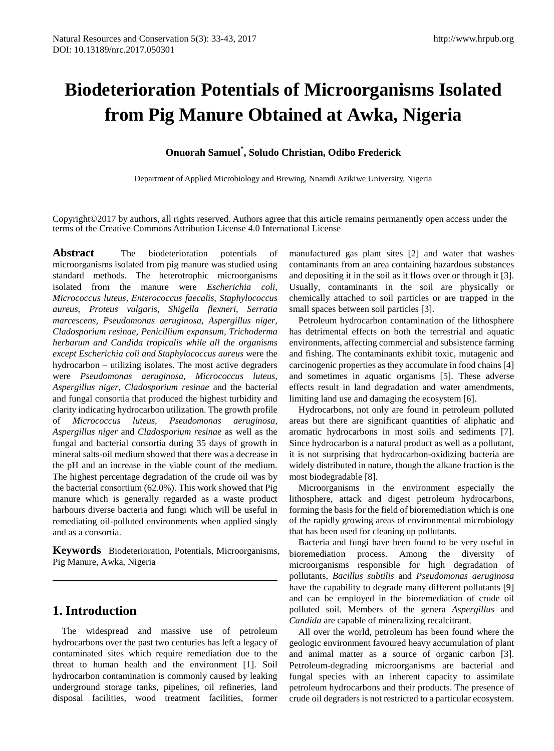# **Biodeterioration Potentials of Microorganisms Isolated from Pig Manure Obtained at Awka, Nigeria**

# **Onuorah Samuel\* , Soludo Christian, Odibo Frederick**

Department of Applied Microbiology and Brewing, Nnamdi Azikiwe University, Nigeria

Copyright©2017 by authors, all rights reserved. Authors agree that this article remains permanently open access under the terms of the Creative Commons Attribution License 4.0 International License

**Abstract** The biodeterioration potentials of microorganisms isolated from pig manure was studied using standard methods. The heterotrophic microorganisms isolated from the manure were *Escherichia coli, Micrococcus luteus, Enterococcus faecalis, Staphylococcus aureus, Proteus vulgaris, Shigella flexneri, Serratia marcescens, Pseudomonas aeruginosa, Aspergillus niger, Cladosporium resinae, Penicillium expansum, Trichoderma herbarum and Candida tropicalis while all the organisms except Escherichia coli and Staphylococcus aureus* were the hydrocarbon – utilizing isolates. The most active degraders were *Pseudomonas aeruginosa, Micrococcus luteus, Aspergillus niger, Cladosporium resinae* and the bacterial and fungal consortia that produced the highest turbidity and clarity indicating hydrocarbon utilization. The growth profile of *Micrococcus luteus, Pseudomonas aeruginosa, Aspergillus niger* and *Cladosporium resinae* as well as the fungal and bacterial consortia during 35 days of growth in mineral salts-oil medium showed that there was a decrease in the pH and an increase in the viable count of the medium. The highest percentage degradation of the crude oil was by the bacterial consortium (62.0%). This work showed that Pig manure which is generally regarded as a waste product harbours diverse bacteria and fungi which will be useful in remediating oil-polluted environments when applied singly and as a consortia.

**Keywords** Biodeterioration, Potentials, Microorganisms, Pig Manure, Awka, Nigeria

# **1. Introduction**

The widespread and massive use of petroleum hydrocarbons over the past two centuries has left a legacy of contaminated sites which require remediation due to the threat to human health and the environment [1]. Soil hydrocarbon contamination is commonly caused by leaking underground storage tanks, pipelines, oil refineries, land disposal facilities, wood treatment facilities, former

manufactured gas plant sites [2] and water that washes contaminants from an area containing hazardous substances and depositing it in the soil as it flows over or through it [3]. Usually, contaminants in the soil are physically or chemically attached to soil particles or are trapped in the small spaces between soil particles [3].

Petroleum hydrocarbon contamination of the lithosphere has detrimental effects on both the terrestrial and aquatic environments, affecting commercial and subsistence farming and fishing. The contaminants exhibit toxic, mutagenic and carcinogenic properties as they accumulate in food chains [4] and sometimes in aquatic organisms [5]. These adverse effects result in land degradation and water amendments, limiting land use and damaging the ecosystem [6].

Hydrocarbons, not only are found in petroleum polluted areas but there are significant quantities of aliphatic and aromatic hydrocarbons in most soils and sediments [7]. Since hydrocarbon is a natural product as well as a pollutant, it is not surprising that hydrocarbon-oxidizing bacteria are widely distributed in nature, though the alkane fraction is the most biodegradable [8].

Microorganisms in the environment especially the lithosphere, attack and digest petroleum hydrocarbons, forming the basis for the field of bioremediation which is one of the rapidly growing areas of environmental microbiology that has been used for cleaning up pollutants.

Bacteria and fungi have been found to be very useful in bioremediation process. Among the diversity of microorganisms responsible for high degradation of pollutants, *Bacillus subtilis* and *Pseudomonas aeruginosa* have the capability to degrade many different pollutants [9] and can be employed in the bioremediation of crude oil polluted soil. Members of the genera *Aspergillus* and *Candida* are capable of mineralizing recalcitrant.

All over the world, petroleum has been found where the geologic environment favoured heavy accumulation of plant and animal matter as a source of organic carbon [3]. Petroleum-degrading microorganisms are bacterial and fungal species with an inherent capacity to assimilate petroleum hydrocarbons and their products. The presence of crude oil degraders is not restricted to a particular ecosystem.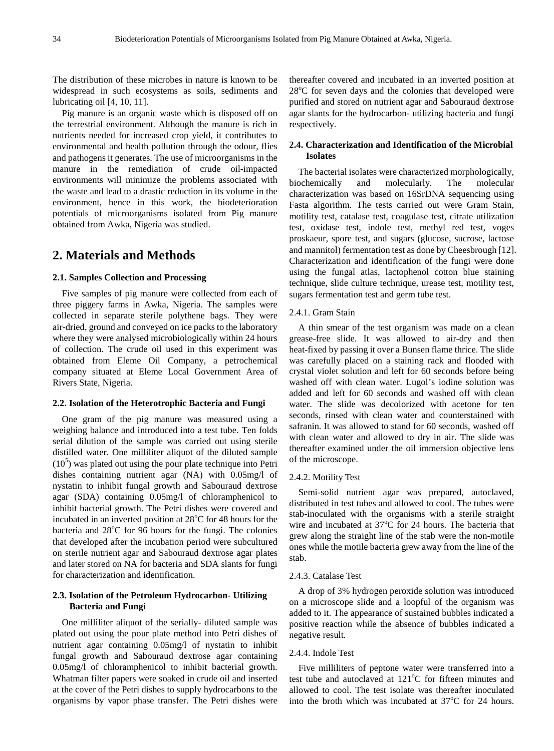The distribution of these microbes in nature is known to be widespread in such ecosystems as soils, sediments and lubricating oil [4, 10, 11].

Pig manure is an organic waste which is disposed off on the terrestrial environment. Although the manure is rich in nutrients needed for increased crop yield, it contributes to environmental and health pollution through the odour, flies and pathogens it generates. The use of microorganisms in the manure in the remediation of crude oil-impacted environments will minimize the problems associated with the waste and lead to a drastic reduction in its volume in the environment, hence in this work, the biodeterioration potentials of microorganisms isolated from Pig manure obtained from Awka, Nigeria was studied.

# **2. Materials and Methods**

#### **2.1. Samples Collection and Processing**

Five samples of pig manure were collected from each of three piggery farms in Awka, Nigeria. The samples were collected in separate sterile polythene bags. They were air-dried, ground and conveyed on ice packs to the laboratory where they were analysed microbiologically within 24 hours of collection. The crude oil used in this experiment was obtained from Eleme Oil Company, a petrochemical company situated at Eleme Local Government Area of Rivers State, Nigeria.

#### **2.2. Isolation of the Heterotrophic Bacteria and Fungi**

One gram of the pig manure was measured using a weighing balance and introduced into a test tube. Ten folds serial dilution of the sample was carried out using sterile distilled water. One milliliter aliquot of the diluted sample  $(10<sup>5</sup>)$  was plated out using the pour plate technique into Petri dishes containing nutrient agar (NA) with 0.05mg/l of nystatin to inhibit fungal growth and Sabouraud dextrose agar (SDA) containing 0.05mg/l of chloramphenicol to inhibit bacterial growth. The Petri dishes were covered and incubated in an inverted position at 28°C for 48 hours for the bacteria and 28°C for 96 hours for the fungi. The colonies that developed after the incubation period were subcultured on sterile nutrient agar and Sabouraud dextrose agar plates and later stored on NA for bacteria and SDA slants for fungi for characterization and identification.

## **2.3. Isolation of the Petroleum Hydrocarbon- Utilizing Bacteria and Fungi**

One milliliter aliquot of the serially- diluted sample was plated out using the pour plate method into Petri dishes of nutrient agar containing 0.05mg/l of nystatin to inhibit fungal growth and Sabouraud dextrose agar containing 0.05mg/l of chloramphenicol to inhibit bacterial growth. Whatman filter papers were soaked in crude oil and inserted at the cover of the Petri dishes to supply hydrocarbons to the organisms by vapor phase transfer. The Petri dishes were

thereafter covered and incubated in an inverted position at 28°C for seven days and the colonies that developed were purified and stored on nutrient agar and Sabouraud dextrose agar slants for the hydrocarbon- utilizing bacteria and fungi respectively.

## **2.4. Characterization and Identification of the Microbial Isolates**

The bacterial isolates were characterized morphologically, biochemically and molecularly. The molecular characterization was based on 16SrDNA sequencing using Fasta algorithm. The tests carried out were Gram Stain, motility test, catalase test, coagulase test, citrate utilization test, oxidase test, indole test, methyl red test, voges proskaeur, spore test, and sugars (glucose, sucrose, lactose and mannitol) fermentation test as done by Cheesbrough [12]. Characterization and identification of the fungi were done using the fungal atlas, lactophenol cotton blue staining technique, slide culture technique, urease test, motility test, sugars fermentation test and germ tube test.

#### 2.4.1. Gram Stain

A thin smear of the test organism was made on a clean grease-free slide. It was allowed to air-dry and then heat-fixed by passing it over a Bunsen flame thrice. The slide was carefully placed on a staining rack and flooded with crystal violet solution and left for 60 seconds before being washed off with clean water. Lugol's iodine solution was added and left for 60 seconds and washed off with clean water. The slide was decolorized with acetone for ten seconds, rinsed with clean water and counterstained with safranin. It was allowed to stand for 60 seconds, washed off with clean water and allowed to dry in air. The slide was thereafter examined under the oil immersion objective lens of the microscope.

#### 2.4.2. Motility Test

Semi-solid nutrient agar was prepared, autoclaved, distributed in test tubes and allowed to cool. The tubes were stab-inoculated with the organisms with a sterile straight wire and incubated at 37°C for 24 hours. The bacteria that grew along the straight line of the stab were the non-motile ones while the motile bacteria grew away from the line of the stab.

#### 2.4.3. Catalase Test

A drop of 3% hydrogen peroxide solution was introduced on a microscope slide and a loopful of the organism was added to it. The appearance of sustained bubbles indicated a positive reaction while the absence of bubbles indicated a negative result.

#### 2.4.4. Indole Test

Five milliliters of peptone water were transferred into a test tube and autoclaved at 121°C for fifteen minutes and allowed to cool. The test isolate was thereafter inoculated into the broth which was incubated at  $37^{\circ}$ C for 24 hours.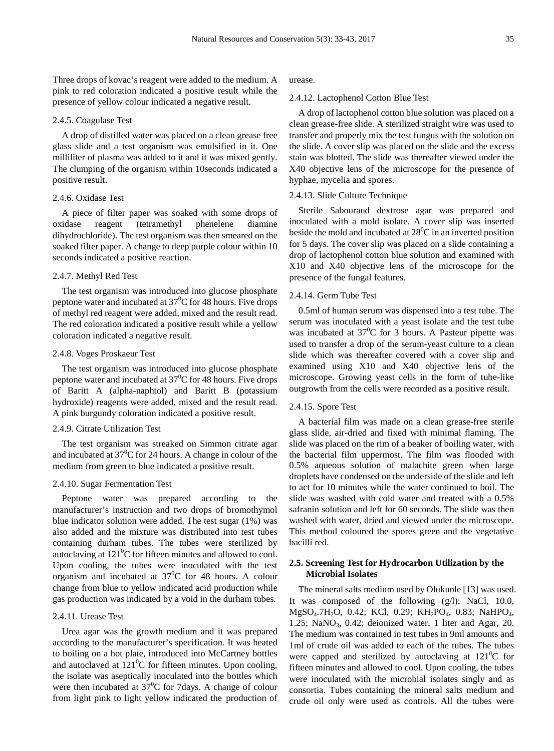Three drops of kovac's reagent were added to the medium. A pink to red coloration indicated a positive result while the presence of yellow colour indicated a negative result.

## 2.4.5. Coagulase Test

A drop of distilled water was placed on a clean grease free glass slide and a test organism was emulsified in it. One milliliter of plasma was added to it and it was mixed gently. The clumping of the organism within 10seconds indicated a positive result.

## 2.4.6. Oxidase Test

A piece of filter paper was soaked with some drops of oxidase reagent (tetramethyl phenelene diamine dihydrochloride). The test organism was then smeared on the soaked filter paper. A change to deep purple colour within 10 seconds indicated a positive reaction.

#### 2.4.7. Methyl Red Test

The test organism was introduced into glucose phosphate peptone water and incubated at  $37^{\circ}$ C for 48 hours. Five drops of methyl red reagent were added, mixed and the result read. The red coloration indicated a positive result while a yellow coloration indicated a negative result.

# 2.4.8. Voges Proskaeur Test

The test organism was introduced into glucose phosphate peptone water and incubated at  $37^{\circ}$ C for 48 hours. Five drops of Baritt A (alpha-naphtol) and Baritt B (potassium hydroxide) reagents were added, mixed and the result read. A pink burgundy coloration indicated a positive result.

# 2.4.9. Citrate Utilization Test

The test organism was streaked on Simmon citrate agar and incubated at  $37^{\circ}$ C for 24 hours. A change in colour of the medium from green to blue indicated a positive result.

### 2.4.10. Sugar Fermentation Test

Peptone water was prepared according to the manufacturer's instruction and two drops of bromothymol blue indicator solution were added. The test sugar (1%) was also added and the mixture was distributed into test tubes containing durham tubes. The tubes were sterilized by autoclaving at  $121^0C$  for fifteen minutes and allowed to cool. Upon cooling, the tubes were inoculated with the test organism and incubated at  $37^0C$  for 48 hours. A colour change from blue to yellow indicated acid production while gas production was indicated by a void in the durham tubes.

### 2.4.11. Urease Test

Urea agar was the growth medium and it was prepared according to the manufacturer's specification. It was heated to boiling on a hot plate, introduced into McCartney bottles and autoclaved at  $121^0C$  for fifteen minutes. Upon cooling, the isolate was aseptically inoculated into the bottles which were then incubated at  $37^{\circ}$ C for 7 days. A change of colour from light pink to light yellow indicated the production of urease.

#### 2.4.12. Lactophenol Cotton Blue Test

A drop of lactophenol cotton blue solution was placed on a clean grease-free slide. A sterilized straight wire was used to transfer and properly mix the test fungus with the solution on the slide. A cover slip was placed on the slide and the excess stain was blotted. The slide was thereafter viewed under the X40 objective lens of the microscope for the presence of hyphae, mycelia and spores.

## 2.4.13. Slide Culture Technique

Sterile Sabouraud dextrose agar was prepared and inoculated with a mold isolate. A cover slip was inserted beside the mold and incubated at  $28^{\circ}$ C in an inverted position for 5 days. The cover slip was placed on a slide containing a drop of lactophenol cotton blue solution and examined with X10 and X40 objective lens of the microscope for the presence of the fungal features.

#### 2.4.14. Germ Tube Test

0.5ml of human serum was dispensed into a test tube. The serum was inoculated with a yeast isolate and the test tube was incubated at  $37^0C$  for 3 hours. A Pasteur pipette was used to transfer a drop of the serum-yeast culture to a clean slide which was thereafter covered with a cover slip and examined using X10 and X40 objective lens of the microscope. Growing yeast cells in the form of tube-like outgrowth from the cells were recorded as a positive result.

#### 2.4.15. Spore Test

A bacterial film was made on a clean grease-free sterile glass slide, air-dried and fixed with minimal flaming. The slide was placed on the rim of a beaker of boiling water, with the bacterial film uppermost. The film was flooded with 0.5% aqueous solution of malachite green when large droplets have condensed on the underside of the slide and left to act for 10 minutes while the water continued to boil. The slide was washed with cold water and treated with a 0.5% safranin solution and left for 60 seconds. The slide was then washed with water, dried and viewed under the microscope. This method coloured the spores green and the vegetative bacilli red.

#### **2.5. Screening Test for Hydrocarbon Utilization by the Microbial Isolates**

The mineral salts medium used by Olukunle [13] was used. It was composed of the following (g/l): NaCl, 10.0, MgSO<sub>4</sub>.7H<sub>2</sub>O, 0.42; KCl, 0.29; KH<sub>2</sub>PO<sub>4</sub>, 0.83; NaHPO<sub>4</sub>, 1.25;  $\text{NaNO}_3$ , 0.42; deionized water, 1 liter and Agar, 20. The medium was contained in test tubes in 9ml amounts and 1ml of crude oil was added to each of the tubes. The tubes were capped and sterilized by autoclaving at  $121^0C$  for fifteen minutes and allowed to cool. Upon cooling, the tubes were inoculated with the microbial isolates singly and as consortia. Tubes containing the mineral salts medium and crude oil only were used as controls. All the tubes were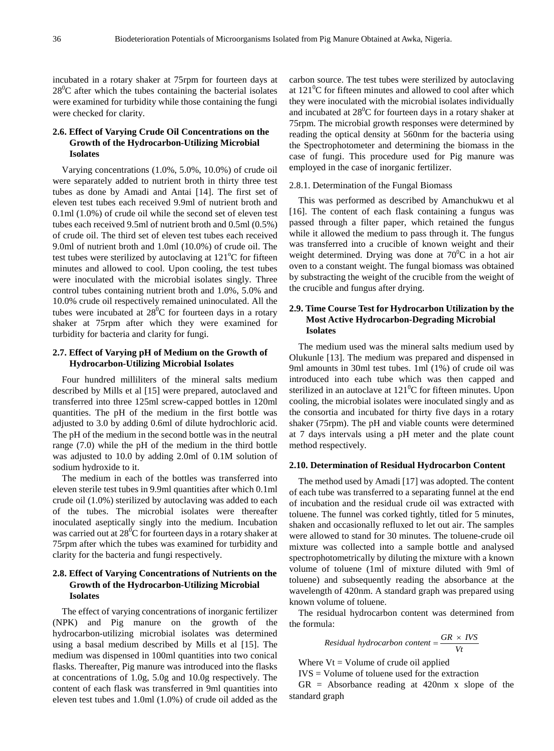incubated in a rotary shaker at 75rpm for fourteen days at  $28^0$ C after which the tubes containing the bacterial isolates were examined for turbidity while those containing the fungi were checked for clarity.

# **2.6. Effect of Varying Crude Oil Concentrations on the Growth of the Hydrocarbon-Utilizing Microbial Isolates**

Varying concentrations (1.0%, 5.0%, 10.0%) of crude oil were separately added to nutrient broth in thirty three test tubes as done by Amadi and Antai [14]. The first set of eleven test tubes each received 9.9ml of nutrient broth and 0.1ml (1.0%) of crude oil while the second set of eleven test tubes each received 9.5ml of nutrient broth and 0.5ml (0.5%) of crude oil. The third set of eleven test tubes each received 9.0ml of nutrient broth and 1.0ml (10.0%) of crude oil. The test tubes were sterilized by autoclaving at  $121^{\circ}$ C for fifteen minutes and allowed to cool. Upon cooling, the test tubes were inoculated with the microbial isolates singly. Three control tubes containing nutrient broth and 1.0%, 5.0% and 10.0% crude oil respectively remained uninoculated. All the tubes were incubated at  $28^{\circ}$ C for fourteen days in a rotary shaker at 75rpm after which they were examined for turbidity for bacteria and clarity for fungi.

## **2.7. Effect of Varying pH of Medium on the Growth of Hydrocarbon-Utilizing Microbial Isolates**

Four hundred milliliters of the mineral salts medium described by Mills et al [15] were prepared, autoclaved and transferred into three 125ml screw-capped bottles in 120ml quantities. The pH of the medium in the first bottle was adjusted to 3.0 by adding 0.6ml of dilute hydrochloric acid. The pH of the medium in the second bottle was in the neutral range (7.0) while the pH of the medium in the third bottle was adjusted to 10.0 by adding 2.0ml of 0.1M solution of sodium hydroxide to it.

The medium in each of the bottles was transferred into eleven sterile test tubes in 9.9ml quantities after which 0.1ml crude oil (1.0%) sterilized by autoclaving was added to each of the tubes. The microbial isolates were thereafter inoculated aseptically singly into the medium. Incubation was carried out at  $28^0C$  for fourteen days in a rotary shaker at 75rpm after which the tubes was examined for turbidity and clarity for the bacteria and fungi respectively.

# **2.8. Effect of Varying Concentrations of Nutrients on the Growth of the Hydrocarbon-Utilizing Microbial Isolates**

The effect of varying concentrations of inorganic fertilizer (NPK) and Pig manure on the growth of the hydrocarbon-utilizing microbial isolates was determined using a basal medium described by Mills et al [15]. The medium was dispensed in 100ml quantities into two conical flasks. Thereafter, Pig manure was introduced into the flasks at concentrations of 1.0g, 5.0g and 10.0g respectively. The content of each flask was transferred in 9ml quantities into eleven test tubes and 1.0ml (1.0%) of crude oil added as the

carbon source. The test tubes were sterilized by autoclaving at  $121^{\circ}$ C for fifteen minutes and allowed to cool after which they were inoculated with the microbial isolates individually and incubated at  $28^{\circ}$ C for fourteen days in a rotary shaker at 75rpm. The microbial growth responses were determined by reading the optical density at 560nm for the bacteria using the Spectrophotometer and determining the biomass in the case of fungi. This procedure used for Pig manure was employed in the case of inorganic fertilizer.

#### 2.8.1. Determination of the Fungal Biomass

This was performed as described by Amanchukwu et al [16]. The content of each flask containing a fungus was passed through a filter paper, which retained the fungus while it allowed the medium to pass through it. The fungus was transferred into a crucible of known weight and their weight determined. Drying was done at  $70^0$ C in a hot air oven to a constant weight. The fungal biomass was obtained by substracting the weight of the crucible from the weight of the crucible and fungus after drying.

## **2.9. Time Course Test for Hydrocarbon Utilization by the Most Active Hydrocarbon-Degrading Microbial Isolates**

The medium used was the mineral salts medium used by Olukunle [13]. The medium was prepared and dispensed in 9ml amounts in 30ml test tubes. 1ml (1%) of crude oil was introduced into each tube which was then capped and sterilized in an autoclave at  $121^0C$  for fifteen minutes. Upon cooling, the microbial isolates were inoculated singly and as the consortia and incubated for thirty five days in a rotary shaker (75rpm). The pH and viable counts were determined at 7 days intervals using a pH meter and the plate count method respectively.

#### **2.10. Determination of Residual Hydrocarbon Content**

The method used by Amadi [17] was adopted. The content of each tube was transferred to a separating funnel at the end of incubation and the residual crude oil was extracted with toluene. The funnel was corked tightly, titled for 5 minutes, shaken and occasionally refluxed to let out air. The samples were allowed to stand for 30 minutes. The toluene-crude oil mixture was collected into a sample bottle and analysed spectrophotometrically by diluting the mixture with a known volume of toluene (1ml of mixture diluted with 9ml of toluene) and subsequently reading the absorbance at the wavelength of 420nm. A standard graph was prepared using known volume of toluene.

The residual hydrocarbon content was determined from the formula:

Residual hydrocarbon content = 
$$
\frac{GR \times IVS}{Vt}
$$

Where  $Vt = Volume of crude oil applied$ 

 $IVS = Volume of$  toluene used for the extraction

 $GR = Absorbance reading at 420nm x slope of the$ standard graph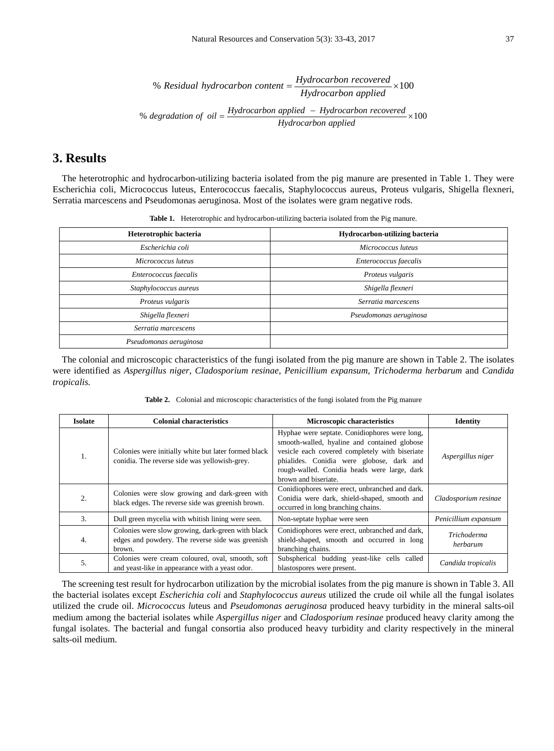% Residual hydrocarbon content = 
$$
\frac{Hydrocarbon\ recovered}{Hydrocarbon\ applied} \times 100
$$

\n% degradation of oil =  $\frac{Hydrocarbon\ applied - Hydrocarbon\ recovered}{Hydrocarbon\ applied} \times 100$ 

# **3. Results**

The heterotrophic and hydrocarbon-utilizing bacteria isolated from the pig manure are presented in Table 1. They were Escherichia coli, Micrococcus luteus, Enterococcus faecalis, Staphylococcus aureus, Proteus vulgaris, Shigella flexneri, Serratia marcescens and Pseudomonas aeruginosa. Most of the isolates were gram negative rods.

| <b>Thore If</b> Therefore plus and it are componentating outcome nontrolled the manufacture. |                                       |  |
|----------------------------------------------------------------------------------------------|---------------------------------------|--|
| Heterotrophic bacteria                                                                       | <b>Hydrocarbon-utilizing bacteria</b> |  |
| Escherichia coli                                                                             | Micrococcus luteus                    |  |
| Micrococcus luteus                                                                           | Enterococcus faecalis                 |  |
| Enterococcus faecalis<br>Proteus vulgaris                                                    |                                       |  |
| Staphylococcus aureus                                                                        | Shigella flexneri                     |  |
| Proteus vulgaris<br>Serratia marcescens                                                      |                                       |  |
| Shigella flexneri<br>Pseudomonas aeruginosa                                                  |                                       |  |
| Serratia marcescens                                                                          |                                       |  |
| Pseudomonas aeruginosa                                                                       |                                       |  |

**Table 1.** Heterotrophic and hydrocarbon-utilizing bacteria isolated from the Pig manure.

The colonial and microscopic characteristics of the fungi isolated from the pig manure are shown in Table 2. The isolates were identified as *Aspergillus niger, Cladosporium resinae, Penicillium expansum, Trichoderma herbarum* and *Candida tropicalis.*

**Table 2.** Colonial and microscopic characteristics of the fungi isolated from the Pig manure

| <b>Isolate</b> | <b>Colonial characteristics</b>                                                                                 | <b>Microscopic characteristics</b>                                                                                                                                                                                                                                   | <b>Identity</b>         |
|----------------|-----------------------------------------------------------------------------------------------------------------|----------------------------------------------------------------------------------------------------------------------------------------------------------------------------------------------------------------------------------------------------------------------|-------------------------|
| 1.             | Colonies were initially white but later formed black<br>conidia. The reverse side was yellowish-grey.           | Hyphae were septate. Conidiophores were long.<br>smooth-walled, hyaline and contained globose<br>vesicle each covered completely with biseriate<br>phialides. Conidia were globose, dark and<br>rough-walled. Conidia heads were large, dark<br>brown and biseriate. |                         |
| 2.             | Colonies were slow growing and dark-green with<br>black edges. The reverse side was greenish brown.             | Conidiophores were erect, unbranched and dark.<br>Conidia were dark, shield-shaped, smooth and<br>occurred in long branching chains.                                                                                                                                 | Cladosporium resinae    |
| 3.             | Dull green mycelia with whitish lining were seen.                                                               | Non-septate hyphae were seen                                                                                                                                                                                                                                         | Penicillium expansum    |
| 4.             | Colonies were slow growing, dark-green with black<br>edges and powdery. The reverse side was greenish<br>brown. | Conidiophores were erect, unbranched and dark,<br>shield-shaped, smooth and occurred in long<br>branching chains.                                                                                                                                                    | Trichoderma<br>herbarum |
| 5.             | Colonies were cream coloured, oval, smooth, soft<br>and yeast-like in appearance with a yeast odor.             | Subspherical budding yeast-like cells called<br>blastospores were present.                                                                                                                                                                                           | Candida tropicalis      |

The screening test result for hydrocarbon utilization by the microbial isolates from the pig manure is shown in Table 3. All the bacterial isolates except *Escherichia coli* and *Staphylococcus aureus* utilized the crude oil while all the fungal isolates utilized the crude oil. *Micrococcus lu*teus and *Pseudomonas aeruginosa* produced heavy turbidity in the mineral salts-oil medium among the bacterial isolates while *Aspergillus niger* and *Cladosporium resinae* produced heavy clarity among the fungal isolates. The bacterial and fungal consortia also produced heavy turbidity and clarity respectively in the mineral salts-oil medium.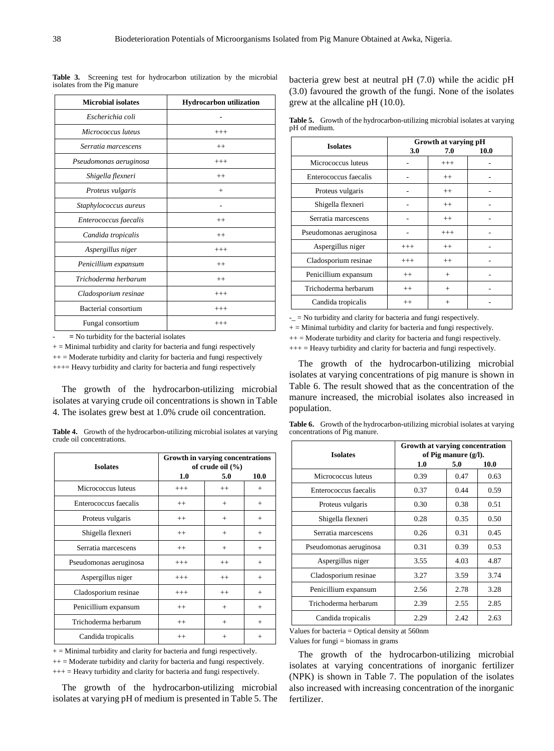| <b>Microbial isolates</b> | Hydrocarbon utilization |
|---------------------------|-------------------------|
| Escherichia coli          |                         |
| Micrococcus luteus        | $^{+++}$                |
| Serratia marcescens       | $^{++}$                 |
| Pseudomonas aeruginosa    | $+++$                   |
| Shigella flexneri         | $^{++}$                 |
| Proteus vulgaris          | $+$                     |
| Staphylococcus aureus     |                         |
| Enterococcus faecalis     | $^{++}$                 |
| Candida tropicalis        | $^{++}$                 |
| Aspergillus niger         | $^{+++}$                |
| Penicillium expansum      | $++$                    |
| Trichoderma herbarum      | $^{++}$                 |
| Cladosporium resinae      | $^{+++}$                |
| Bacterial consortium      | $^{+++}$                |
| Fungal consortium         | $^{+++}$                |

**Table 3.** Screening test for hydrocarbon utilization by the microbial isolates from the Pig manure

- **=** No turbidity for the bacterial isolates

 $+$  = Minimal turbidity and clarity for bacteria and fungi respectively

 $++$  = Moderate turbidity and clarity for bacteria and fungi respectively

+++= Heavy turbidity and clarity for bacteria and fungi respectively

The growth of the hydrocarbon-utilizing microbial isolates at varying crude oil concentrations is shown in Table 4. The isolates grew best at 1.0% crude oil concentration.

| <b>Table 4.</b> Growth of the hydrocarbon-utilizing microbial isolates at varying |  |
|-----------------------------------------------------------------------------------|--|
| crude oil concentrations.                                                         |  |

| <b>Isolates</b>        | Growth in varying concentrations<br>of crude oil (%) |         |        |
|------------------------|------------------------------------------------------|---------|--------|
|                        | 1.0                                                  | 5.0     | 10.0   |
| Micrococcus luteus     | $+++$                                                | $++$    | $^{+}$ |
| Enterococcus faecalis  | $^{++}$                                              | $^{+}$  | $^{+}$ |
| Proteus vulgaris       | $^{++}$                                              | $^{+}$  | $+$    |
| Shigella flexneri      | $^{++}$                                              | $+$     | $+$    |
| Serratia marcescens    | $++$                                                 | $^{+}$  | $^{+}$ |
| Pseudomonas aeruginosa | $^{+++}$                                             | $^{++}$ | $^{+}$ |
| Aspergillus niger      | $^{+++}$                                             | $^{++}$ | $+$    |
| Cladosporium resinae   | $^{+++}$                                             | $^{++}$ | $+$    |
| Penicillium expansum   | $++$                                                 | $^{+}$  | $+$    |
| Trichoderma herbarum   | $^{++}$                                              | $^{+}$  | $^{+}$ |
| Candida tropicalis     | $^{++}$                                              | $+$     | $^{+}$ |

 $+$  = Minimal turbidity and clarity for bacteria and fungi respectively.

 $++$  = Moderate turbidity and clarity for bacteria and fungi respectively.

+++ = Heavy turbidity and clarity for bacteria and fungi respectively.

The growth of the hydrocarbon-utilizing microbial isolates at varying pH of medium is presented in Table 5. The

bacteria grew best at neutral pH (7.0) while the acidic pH (3.0) favoured the growth of the fungi. None of the isolates grew at the allcaline pH (10.0).

**Table 5.** Growth of the hydrocarbon-utilizing microbial isolates at varying pH of medium.

| <b>Isolates</b>        | Growth at varying pH |                |      |
|------------------------|----------------------|----------------|------|
|                        | 3.0                  | 7.0            | 10.0 |
| Micrococcus luteus     |                      | $^{+++}$       |      |
| Enterococcus faecalis  |                      | $^{++}$        |      |
| Proteus vulgaris       |                      | $^{++}$        |      |
| Shigella flexneri      |                      | $^{++}$        |      |
| Serratia marcescens    |                      | $^{++}$        |      |
| Pseudomonas aeruginosa |                      | $^{+++}$       |      |
| Aspergillus niger      | $^{+++}$             | $^{++}$        |      |
| Cladosporium resinae   | $^{+++}$             | $^{++}$        |      |
| Penicillium expansum   | $^{++}$              | $^{+}$         |      |
| Trichoderma herbarum   | $^{++}$              | $^{+}$         |      |
| Candida tropicalis     | $^{++}$              | $\overline{+}$ |      |

-\_ = No turbidity and clarity for bacteria and fungi respectively.

 $+$  = Minimal turbidity and clarity for bacteria and fungi respectively.

 $++$  = Moderate turbidity and clarity for bacteria and fungi respectively.

 $+++$  = Heavy turbidity and clarity for bacteria and fungi respectively.

The growth of the hydrocarbon-utilizing microbial isolates at varying concentrations of pig manure is shown in Table 6. The result showed that as the concentration of the manure increased, the microbial isolates also increased in population.

| <b>Table 6.</b> Growth of the hydrocarbon-utilizing microbial isolates at varying |  |
|-----------------------------------------------------------------------------------|--|
| concentrations of Pig manure.                                                     |  |

| <b>Isolates</b>        | Growth at varying concentration<br>of Pig manure $(g/l)$ . |      |      |
|------------------------|------------------------------------------------------------|------|------|
|                        | 1.0                                                        | 5.0  | 10.0 |
| Micrococcus luteus     | 0.39                                                       | 0.47 | 0.63 |
| Enterococcus faecalis  | 0.37                                                       | 0.44 | 0.59 |
| Proteus vulgaris       | 0.30                                                       | 0.38 | 0.51 |
| Shigella flexneri      | 0.28                                                       | 0.35 | 0.50 |
| Serratia marcescens    | 0.26                                                       | 0.31 | 0.45 |
| Pseudomonas aeruginosa | 0.31                                                       | 0.39 | 0.53 |
| Aspergillus niger      | 3.55                                                       | 4.03 | 4.87 |
| Cladosporium resinae   | 3.27                                                       | 3.59 | 3.74 |
| Penicillium expansum   | 2.56                                                       | 2.78 | 3.28 |
| Trichoderma herbarum   | 2.39                                                       | 2.55 | 2.85 |
| Candida tropicalis     | 2.29                                                       | 2.42 | 2.63 |

Values for bacteria = Optical density at 560nm

Values for fungi = biomass in grams

The growth of the hydrocarbon-utilizing microbial isolates at varying concentrations of inorganic fertilizer (NPK) is shown in Table 7. The population of the isolates also increased with increasing concentration of the inorganic fertilizer.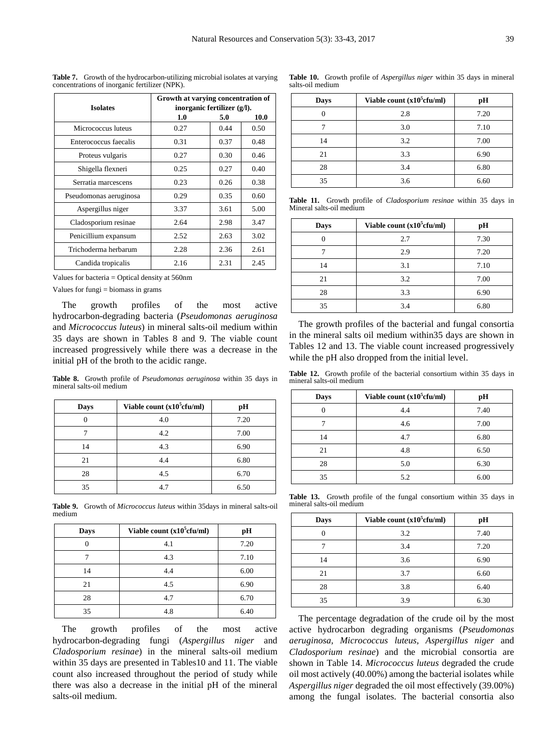salts-oil medium

|                        | Growth at varying concentration of |      |      |
|------------------------|------------------------------------|------|------|
| <b>Isolates</b>        | inorganic fertilizer (g/l).        |      |      |
|                        | 1.0                                | 5.0  | 10.0 |
| Micrococcus luteus     | 0.27                               | 0.44 | 0.50 |
| Enterococcus faecalis  | 0.31                               | 0.37 | 0.48 |
| Proteus vulgaris       | 0.27                               | 0.30 | 0.46 |
| Shigella flexneri      | 0.25                               | 0.27 | 0.40 |
| Serratia marcescens    | 0.23                               | 0.26 | 0.38 |
| Pseudomonas aeruginosa | 0.29                               | 0.35 | 0.60 |
| Aspergillus niger      | 3.37                               | 3.61 | 5.00 |
| Cladosporium resinae   | 2.64                               | 2.98 | 3.47 |
| Penicillium expansum   | 2.52                               | 2.63 | 3.02 |
| Trichoderma herbarum   | 2.28                               | 2.36 | 2.61 |
| Candida tropicalis     | 2.16                               | 2.31 | 2.45 |

**Table 7.** Growth of the hydrocarbon-utilizing microbial isolates at varying concentrations of inorganic fertilizer (NPK).

Values for bacteria = Optical density at 560nm

Values for fungi  $=$  biomass in grams

The growth profiles of the most active hydrocarbon-degrading bacteria (*Pseudomonas aeruginosa* and *Micrococcus luteus*) in mineral salts-oil medium within 35 days are shown in Tables 8 and 9. The viable count increased progressively while there was a decrease in the initial pH of the broth to the acidic range.

**Table 8.** Growth profile of *Pseudomonas aeruginosa* within 35 days in mineral salts-oil medium

| Days | Viable count (x10 <sup>5</sup> cfu/ml) | pН   |
|------|----------------------------------------|------|
| 0    | 4.0                                    | 7.20 |
|      | 4.2                                    | 7.00 |
| 14   | 4.3                                    | 6.90 |
| 21   | 4.4                                    | 6.80 |
| 28   | 4.5                                    | 6.70 |
| 35   | 4.7                                    | 6.50 |

**Table 9.** Growth of *Micrococcus luteus* within 35days in mineral salts-oil medium

| Days | Viable count $(x10^5$ cfu/ml) | pН   |
|------|-------------------------------|------|
|      | 4.1                           | 7.20 |
|      | 4.3                           | 7.10 |
| 14   | 4.4                           | 6.00 |
| 21   | 4.5                           | 6.90 |
| 28   | 4.7                           | 6.70 |
| 35   | 4.8                           | 6.40 |

The growth profiles of the most active hydrocarbon-degrading fungi (*Aspergillus niger* and *Cladosporium resinae*) in the mineral salts-oil medium within 35 days are presented in Tables10 and 11. The viable count also increased throughout the period of study while there was also a decrease in the initial pH of the mineral salts-oil medium.

| Days | Viable count (x10 <sup>5</sup> cfu/ml) | pН   |
|------|----------------------------------------|------|
|      | 2.8                                    | 7.20 |
|      | 3.0                                    | 7.10 |
| 14   | 3.2                                    | 7.00 |
| 21   | 3.3                                    | 6.90 |
| 28   | 3.4                                    | 6.80 |
| 35   | 3.6                                    | 6.60 |

**Table 10.** Growth profile of *Aspergillus niger* within 35 days in mineral

**Table 11.** Growth profile of *Cladosporium resinae* within 35 days in Mineral salts-oil medium

| Days | Viable count (x10 <sup>5</sup> cfu/ml) | pН   |
|------|----------------------------------------|------|
|      | 2.7                                    | 7.30 |
|      | 2.9                                    | 7.20 |
| 14   | 3.1                                    | 7.10 |
| 21   | 3.2                                    | 7.00 |
| 28   | 3.3                                    | 6.90 |
| 35   | 3.4                                    | 6.80 |

The growth profiles of the bacterial and fungal consortia in the mineral salts oil medium within35 days are shown in Tables 12 and 13. The viable count increased progressively while the pH also dropped from the initial level.

**Table 12.** Growth profile of the bacterial consortium within 35 days in mineral salts-oil medium

| Days | Viable count (x10 <sup>5</sup> cfu/ml) | pН   |
|------|----------------------------------------|------|
| 0    | 4.4                                    | 7.40 |
|      | 4.6                                    | 7.00 |
| 14   | 4.7                                    | 6.80 |
| 21   | 4.8                                    | 6.50 |
| 28   | 5.0                                    | 6.30 |
| 35   | 5.2                                    | 6.00 |

**Table 13.** Growth profile of the fungal consortium within 35 days in mineral salts-oil medium

| Days | Viable count (x10 <sup>5</sup> cfu/ml) | pН   |
|------|----------------------------------------|------|
|      | 3.2                                    | 7.40 |
|      | 3.4                                    | 7.20 |
| 14   | 3.6                                    | 6.90 |
| 21   | 3.7                                    | 6.60 |
| 28   | 3.8                                    | 6.40 |
| 35   | 3.9                                    | 6.30 |

The percentage degradation of the crude oil by the most active hydrocarbon degrading organisms (*Pseudomonas aeruginosa, Micrococcus luteus, Aspergillus niger* and *Cladosporium resinae*) and the microbial consortia are shown in Table 14. *Micrococcus luteus* degraded the crude oil most actively (40.00%) among the bacterial isolates while *Aspergillus niger* degraded the oil most effectively (39.00%) among the fungal isolates. The bacterial consortia also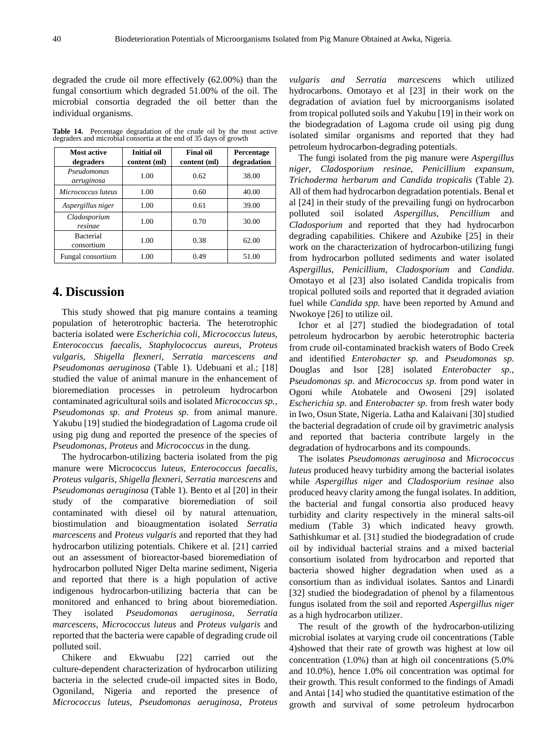degraded the crude oil more effectively (62.00%) than the fungal consortium which degraded 51.00% of the oil. The microbial consortia degraded the oil better than the individual organisms.

**Table 14.** Percentage degradation of the crude oil by the most active degraders and microbial consortia at the end of 35 days of growth

| Most active<br>degraders       | <b>Initial oil</b><br>content (ml) | <b>Final oil</b><br>content (ml) | Percentage<br>degradation |
|--------------------------------|------------------------------------|----------------------------------|---------------------------|
| Pseudomonas<br>aeruginosa      | 1.00                               | 0.62                             | 38.00                     |
| Micrococcus luteus             | 1.00                               | 0.60                             | 40.00                     |
| Aspergillus niger              | 1.00                               | 0.61                             | 39.00                     |
| Cladosporium<br>resinae        | 1.00                               | 0.70                             | 30.00                     |
| <b>Bacterial</b><br>consortium | 1.00                               | 0.38                             | 62.00                     |
| Fungal consortium              | 1.00                               | 0.49                             | 51.00                     |

# **4. Discussion**

This study showed that pig manure contains a teaming population of heterotrophic bacteria. The heterotrophic bacteria isolated were *Escherichia coli, Micrococcus luteus, Enterococcus faecalis, Staphylococcus aureus, Proteus vulgaris, Shigella flexneri, Serratia marcescens and Pseudomonas aeruginosa* (Table 1). Udebuani et al.; [18] studied the value of animal manure in the enhancement of bioremediation processes in petroleum hydrocarbon contaminated agricultural soils and isolated *Micrococcus sp., Pseudomonas sp. and Proteus sp.* from animal manure. Yakubu [19] studied the biodegradation of Lagoma crude oil using pig dung and reported the presence of the species of *Pseudomonas, Proteus* and *Micrococcus* in the dung.

The hydrocarbon-utilizing bacteria isolated from the pig manure were Micrococcus *luteus, Enterococcus faecalis, Proteus vulgaris, Shigella flexneri, Serratia marcescens* and *Pseudomonas aeruginosa* (Table 1). Bento et al [20] in their study of the comparative bioremediation of soil contaminated with diesel oil by natural attenuation, biostimulation and bioaugmentation isolated *Serratia marcescens* and *Proteus vulgaris* and reported that they had hydrocarbon utilizing potentials. Chikere et al. [21] carried out an assessment of bioreactor-based bioremediation of hydrocarbon polluted Niger Delta marine sediment, Nigeria and reported that there is a high population of active indigenous hydrocarbon-utilizing bacteria that can be monitored and enhanced to bring about bioremediation. They isolated *Pseudomonas aeruginosa, Serratia marcescens, Micrococcus luteus* and *Proteus vulgaris* and reported that the bacteria were capable of degrading crude oil polluted soil.

Chikere and Ekwuabu [22] carried out the culture-dependent characterization of hydrocarbon utilizing bacteria in the selected crude-oil impacted sites in Bodo, Ogoniland, Nigeria and reported the presence of *Micrococcus luteus, Pseudomonas aeruginosa, Proteus* 

*vulgaris and Serratia marcescens* which utilized hydrocarbons. Omotayo et al [23] in their work on the degradation of aviation fuel by microorganisms isolated from tropical polluted soils and Yakubu [19] in their work on the biodegradation of Lagoma crude oil using pig dung isolated similar organisms and reported that they had petroleum hydrocarbon-degrading potentials.

The fungi isolated from the pig manure were *Aspergillus niger, Cladosporium resinae, Penicillium expansum, Trichoderma herbarum and Candida tropicalis* (Table 2). All of them had hydrocarbon degradation potentials. Benal et al [24] in their study of the prevailing fungi on hydrocarbon polluted soil isolated *Aspergillus, Pencillium* and *Cladosporium* and reported that they had hydrocarbon degrading capabilities. Chikere and Azubike [25] in their work on the characterization of hydrocarbon-utilizing fungi from hydrocarbon polluted sediments and water isolated *Aspergillus, Penicillium, Cladosporium* and *Candida*. Omotayo et al [23] also isolated Candida tropicalis from tropical polluted soils and reported that it degraded aviation fuel while *Candida spp.* have been reported by Amund and Nwokoye [26] to utilize oil.

Ichor et al [27] studied the biodegradation of total petroleum hydrocarbon by aerobic heterotrophic bacteria from crude oil-contaminated brackish waters of Bodo Creek and identified *Enterobacter sp.* and *Pseudomonas sp*. Douglas and Isor [28] isolated *Enterobacter sp., Pseudomonas sp.* and *Micrococcus sp.* from pond water in Ogoni while Atobatele and Owoseni [29] isolated *Escherichia sp.* and *Enterobacter sp.* from fresh water body in Iwo, Osun State, Nigeria. Latha and Kalaivani [30] studied the bacterial degradation of crude oil by gravimetric analysis and reported that bacteria contribute largely in the degradation of hydrocarbons and its compounds.

The isolates *Pseudomonas aeruginosa* and *Micrococcus luteus* produced heavy turbidity among the bacterial isolates while *Aspergillus niger* and *Cladosporium resinae* also produced heavy clarity among the fungal isolates. In addition, the bacterial and fungal consortia also produced heavy turbidity and clarity respectively in the mineral salts-oil medium (Table 3) which indicated heavy growth. Sathishkumar et al. [31] studied the biodegradation of crude oil by individual bacterial strains and a mixed bacterial consortium isolated from hydrocarbon and reported that bacteria showed higher degradation when used as a consortium than as individual isolates. Santos and Linardi [32] studied the biodegradation of phenol by a filamentous fungus isolated from the soil and reported *Aspergillus niger* as a high hydrocarbon utilizer.

The result of the growth of the hydrocarbon-utilizing microbial isolates at varying crude oil concentrations (Table 4)showed that their rate of growth was highest at low oil concentration (1.0%) than at high oil concentrations (5.0% and 10.0%), hence 1.0% oil concentration was optimal for their growth. This result conformed to the findings of Amadi and Antai [14] who studied the quantitative estimation of the growth and survival of some petroleum hydrocarbon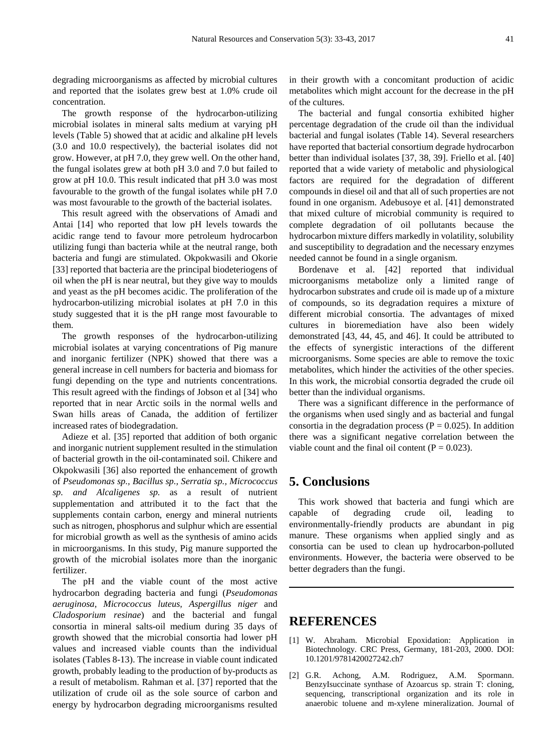degrading microorganisms as affected by microbial cultures and reported that the isolates grew best at 1.0% crude oil concentration.

The growth response of the hydrocarbon-utilizing microbial isolates in mineral salts medium at varying pH levels (Table 5) showed that at acidic and alkaline pH levels (3.0 and 10.0 respectively), the bacterial isolates did not grow. However, at pH 7.0, they grew well. On the other hand, the fungal isolates grew at both pH 3.0 and 7.0 but failed to grow at pH 10.0. This result indicated that pH 3.0 was most favourable to the growth of the fungal isolates while pH 7.0 was most favourable to the growth of the bacterial isolates.

This result agreed with the observations of Amadi and Antai [14] who reported that low pH levels towards the acidic range tend to favour more petroleum hydrocarbon utilizing fungi than bacteria while at the neutral range, both bacteria and fungi are stimulated. Okpokwasili and Okorie [33] reported that bacteria are the principal biodeteriogens of oil when the pH is near neutral, but they give way to moulds and yeast as the pH becomes acidic. The proliferation of the hydrocarbon-utilizing microbial isolates at pH 7.0 in this study suggested that it is the pH range most favourable to them.

The growth responses of the hydrocarbon-utilizing microbial isolates at varying concentrations of Pig manure and inorganic fertilizer (NPK) showed that there was a general increase in cell numbers for bacteria and biomass for fungi depending on the type and nutrients concentrations. This result agreed with the findings of Jobson et al [34] who reported that in near Arctic soils in the normal wells and Swan hills areas of Canada, the addition of fertilizer increased rates of biodegradation.

Adieze et al. [35] reported that addition of both organic and inorganic nutrient supplement resulted in the stimulation of bacterial growth in the oil-contaminated soil. Chikere and Okpokwasili [36] also reported the enhancement of growth of *Pseudomonas sp., Bacillus sp., Serratia sp., Micrococcus sp. and Alcaligenes sp.* as a result of nutrient supplementation and attributed it to the fact that the supplements contain carbon, energy and mineral nutrients such as nitrogen, phosphorus and sulphur which are essential for microbial growth as well as the synthesis of amino acids in microorganisms. In this study, Pig manure supported the growth of the microbial isolates more than the inorganic fertilizer.

The pH and the viable count of the most active hydrocarbon degrading bacteria and fungi (*Pseudomonas aeruginosa, Micrococcus luteus, Aspergillus niger* and *Cladosporium resinae*) and the bacterial and fungal consortia in mineral salts-oil medium during 35 days of growth showed that the microbial consortia had lower pH values and increased viable counts than the individual isolates (Tables 8-13). The increase in viable count indicated growth, probably leading to the production of by-products as a result of metabolism. Rahman et al. [37] reported that the utilization of crude oil as the sole source of carbon and energy by hydrocarbon degrading microorganisms resulted

in their growth with a concomitant production of acidic metabolites which might account for the decrease in the pH of the cultures.

The bacterial and fungal consortia exhibited higher percentage degradation of the crude oil than the individual bacterial and fungal isolates (Table 14). Several researchers have reported that bacterial consortium degrade hydrocarbon better than individual isolates [37, 38, 39]. Friello et al. [40] reported that a wide variety of metabolic and physiological factors are required for the degradation of different compounds in diesel oil and that all of such properties are not found in one organism. Adebusoye et al. [41] demonstrated that mixed culture of microbial community is required to complete degradation of oil pollutants because the hydrocarbon mixture differs markedly in volatility, solubility and susceptibility to degradation and the necessary enzymes needed cannot be found in a single organism.

Bordenave et al. [42] reported that individual microorganisms metabolize only a limited range of hydrocarbon substrates and crude oil is made up of a mixture of compounds, so its degradation requires a mixture of different microbial consortia. The advantages of mixed cultures in bioremediation have also been widely demonstrated [43, 44, 45, and 46]. It could be attributed to the effects of synergistic interactions of the different microorganisms. Some species are able to remove the toxic metabolites, which hinder the activities of the other species. In this work, the microbial consortia degraded the crude oil better than the individual organisms.

There was a significant difference in the performance of the organisms when used singly and as bacterial and fungal consortia in the degradation process ( $P = 0.025$ ). In addition there was a significant negative correlation between the viable count and the final oil content ( $P = 0.023$ ).

# **5. Conclusions**

This work showed that bacteria and fungi which are capable of degrading crude oil, leading to environmentally-friendly products are abundant in pig manure. These organisms when applied singly and as consortia can be used to clean up hydrocarbon-polluted environments. However, the bacteria were observed to be better degraders than the fungi.

# **REFERENCES**

- [1] W. Abraham. Microbial Epoxidation: Application in Biotechnology. CRC Press, Germany, 181-203, 2000. DOI: 10.1201/9781420027242.ch7
- [2] G.R. Achong, A.M. Rodriguez, A.M. Spormann. BenzyIsuccinate synthase of Azoarcus sp. strain T: cloning, sequencing, transcriptional organization and its role in anaerobic toluene and m-xylene mineralization. Journal of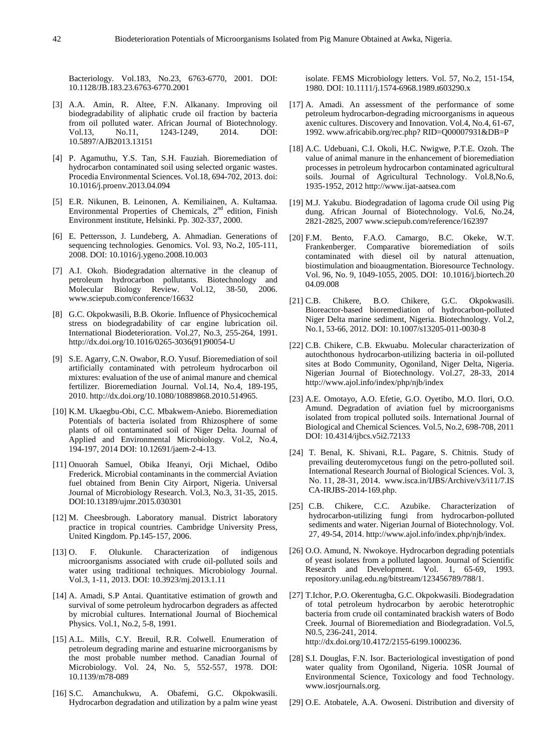Bacteriology. Vol.183, No.23, 6763-6770, 2001. DOI: 10.1128/JB.183.23.6763-6770.2001

- [3] A.A. Amin, R. Altee, F.N. Alkanany. Improving oil biodegradability of aliphatic crude oil fraction by bacteria from oil polluted water. African Journal of Biotechnology. Vol.13, No.11, 1243-1249, 2014. DOI: 10.5897/AJB2013.13151
- [4] P. Agamuthu, Y.S. Tan, S.H. Fauziah. Bioremediation of hydrocarbon contaminated soil using selected organic wastes. Procedia Environmental Sciences. Vol.18, 694-702, 2013. doi: 10.1016/j.proenv.2013.04.094
- [5] E.R. Nikunen, B. Leinonen, A. Kemiliainen, A. Kultamaa. Environmental Properties of Chemicals,  $2<sup>nd</sup>$  edition, Finish Environment institute, Helsinki. Pp. 302-337, 2000.
- [6] E. Pettersson, J. Lundeberg, A. Ahmadian. Generations of sequencing technologies. Genomics. Vol. 93, No.2, 105-111, 2008. DOI: 10.1016/j.ygeno.2008.10.003
- [7] A.I. Okoh. Biodegradation alternative in the cleanup of petroleum hydrocarbon pollutants. Biotechnology and Molecular Biology Review. Vol.12, 38-50, 2006. [www.sciepub.com/conference/16632](http://www.sciepub.com/conference/16632)
- [8] G.C. Okpokwasili, B.B. Okorie. Influence of Physicochemical stress on biodegradability of car engine lubrication oil. International Biodeterioration. Vol.27, No.3, 255-264, 1991. [http://dx.doi.org/10.1016/0265-3036\(91\)90054-U](http://dx.doi.org/10.1016/0265-3036(91)90054-U)
- [9] S.E. Agarry, C.N. Owabor, R.O. Yusuf. Bioremediation of soil artificially contaminated with petroleum hydrocarbon oil mixtures: evaluation of the use of animal manure and chemical fertilizer. Bioremediation Journal. Vol.14, No.4, 189-195, 2010. [http://dx.doi.org/10.1080/10889868.2010.514965.](http://dx.doi.org/10.1080/10889868.2010.514965)
- [10] K.M. Ukaegbu-Obi, C.C. Mbakwem-Aniebo. Bioremediation Potentials of bacteria isolated from Rhizosphere of some plants of oil contaminated soil of Niger Delta. Journal of Applied and Environmental Microbiology. Vol.2, No.4, 194-197, 2014 DOI: 10.12691/jaem-2-4-13.
- [11] Onuorah Samuel, Obika Ifeanyi, Orji Michael, Odibo Frederick. Microbial contaminants in the commercial Aviation fuel obtained from Benin City Airport, Nigeria. Universal Journal of Microbiology Research. Vol.3, No.3, 31-35, 2015. DOI:10.13189/ujmr.2015.030301
- [12] M. Cheesbrough. Laboratory manual. District laboratory practice in tropical countries. Cambridge University Press, United Kingdom. Pp.145-157, 2006.
- [13] O. F. Olukunle. Characterization of indigenous microorganisms associated with crude oil-polluted soils and water using traditional techniques. Microbiology Journal. Vol.3, 1-11, 2013. DOI: 10.3923/mj.2013.1.11
- [14] A. Amadi, S.P Antai. Quantitative estimation of growth and survival of some petroleum hydrocarbon degraders as affected by microbial cultures. International Journal of Biochemical Physics. Vol.1, No.2, 5-8, 1991.
- [15] A.L. Mills, C.Y. Breuil, R.R. Colwell. Enumeration of petroleum degrading marine and estuarine microorganisms by the most probable number method. Canadian Journal of Microbiology. Vol. 24, No. 5, 552-557, 1978. DOI: 10.1139/m78-089
- [16] S.C. Amanchukwu, A. Obafemi, G.C. Okpokwasili. Hydrocarbon degradation and utilization by a palm wine yeast

isolate. FEMS Microbiology letters. Vol. 57, No.2, 151-154, 1980. DOI: 10.1111/j.1574-6968.1989.t603290.x

- [17] A. Amadi. An assessment of the performance of some petroleum hydrocarbon-degrading microorganisms in aqueous axenic cultures. Discovery and Innovation. Vol.4, No.4, 61-67, 1992. [www.africabib.org/rec.php?](http://www.africabib.org/rec.php) RID=Q00007931&DB=P
- [18] A.C. Udebuani, C.I. Okoli, H.C. Nwigwe, P.T.E. Ozoh. The value of animal manure in the enhancement of bioremediation processes in petroleum hydrocarbon contaminated agricultural soils. Journal of Agricultural Technology. Vol.8,No.6, 1935-1952, 2012 [http://www.ijat-aatsea.com](http://www.ijat-aatsea.com/)
- [19] M.J. Yakubu. Biodegradation of lagoma crude Oil using Pig dung. African Journal of Biotechnology. Vol.6, No.24, 2821-2825, 2007 [www.sciepub.com/reference/162397](http://www.sciepub.com/reference/162397)
- [20] F.M. Bento, F.A.O. Camargo, B.C. Okeke, W.T. Frankenberger. Comparative bioremediation of soils contaminated with diesel oil by natural attenuation, biostimulation and bioaugmentation. Bioresource Technology. Vol. 96, No. 9, 1049-1055, 2005. DOI: 10.1016/j.biortech.20 04.09.008
- [21] C.B. Chikere, B.O. Chikere, G.C. Okpokwasili. Bioreactor-based bioremediation of hydrocarbon-polluted Niger Delta marine sediment, Nigeria. Biotechnology. Vol.2, No.1, 53-66, 2012. DOI: 10.1007/s13205-011-0030-8
- [22] C.B. Chikere, C.B. Ekwuabu. Molecular characterization of autochthonous hydrocarbon-utilizing bacteria in oil-polluted sites at Bodo Community, Ogoniland, Niger Delta, Nigeria. Nigerian Journal of Biotechnology. Vol.27, 28-33, 2014 http://www.ajol.info/index/php/njb/index
- [23] A.E. Omotayo, A.O. Efetie, G.O. Oyetibo, M.O. Ilori, O.O. Amund. Degradation of aviation fuel by microorganisms isolated from tropical polluted soils. International Journal of Biological and Chemical Sciences. Vol.5, No.2, 698-708, 2011 DOI: 10.4314/ijbcs.v5i2.72133
- [24] T. Benal, K. Shivani, R.L. Pagare, S. Chitnis. Study of prevailing deuteromycetous fungi on the petro-polluted soil. International Research Journal of Biological Sciences. Vol. 3, No. 11, 28-31, 2014. www.isca.in/IJBS/Archive/v3/i11/7.IS CA-IRJBS-2014-169.php.
- [25] C.B. Chikere, C.C. Azubike. Characterization of hydrocarbon-utilizing fungi from hydrocarbon-polluted sediments and water. Nigerian Journal of Biotechnology. Vol. 27, 49-54, 2014. http://www.ajol.info/index.php/njb/index.
- [26] O.O. Amund, N. Nwokoye. Hydrocarbon degrading potentials of yeast isolates from a polluted lagoon. Journal of Scientific Research and Development. Vol. 1, 65-69, 1993. repository.unilag.edu.ng/bitstream/123456789/788/1.
- [27] T.Ichor, P.O. Okerentugba, G.C. Okpokwasili. Biodegradation of total petroleum hydrocarbon by aerobic heterotrophic bacteria from crude oil contaminated brackish waters of Bodo Creek. Journal of Bioremediation and Biodegradation. Vol.5, N0.5, 236-241, 2014. [http://dx.doi.org/10.4172/2155-6199.1000236.](http://dx.doi.org/10.4172/2155-6199.1000236)
- [28] S.I. Douglas, F.N. Isor. Bacteriological investigation of pond water quality from Ogoniland, Nigeria. 10SR Journal of Environmental Science, Toxicology and food Technology. [www.iosrjournals.org.](http://www.iosrjournals.org/)
- [29] O.E. Atobatele, A.A. Owoseni. Distribution and diversity of